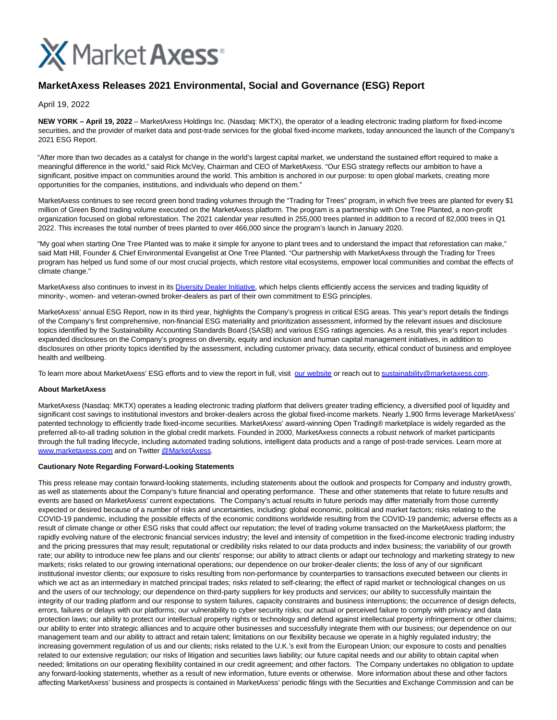

## **MarketAxess Releases 2021 Environmental, Social and Governance (ESG) Report**

April 19, 2022

**NEW YORK – April 19, 2022** – MarketAxess Holdings Inc. (Nasdaq: MKTX), the operator of a leading electronic trading platform for fixed-income securities, and the provider of market data and post-trade services for the global fixed-income markets, today announced the launch of the Company's 2021 ESG Report.

"After more than two decades as a catalyst for change in the world's largest capital market, we understand the sustained effort required to make a meaningful difference in the world," said Rick McVey, Chairman and CEO of MarketAxess. "Our ESG strategy reflects our ambition to have a significant, positive impact on communities around the world. This ambition is anchored in our purpose: to open global markets, creating more opportunities for the companies, institutions, and individuals who depend on them."

MarketAxess continues to see record green bond trading volumes through the "Trading for Trees" program, in which five trees are planted for every \$1 million of Green Bond trading volume executed on the MarketAxess platform. The program is a partnership with One Tree Planted, a non-profit organization focused on global reforestation. The 2021 calendar year resulted in 255,000 trees planted in addition to a record of 82,000 trees in Q1 2022. This increases the total number of trees planted to over 466,000 since the program's launch in January 2020.

"My goal when starting One Tree Planted was to make it simple for anyone to plant trees and to understand the impact that reforestation can make," said Matt Hill, Founder & Chief Environmental Evangelist at One Tree Planted. "Our partnership with MarketAxess through the Trading for Trees program has helped us fund some of our most crucial projects, which restore vital ecosystems, empower local communities and combat the effects of climate change."

MarketAxess also continues to invest in its [Diversity Dealer Initiative,](https://investor.marketaxess.com/news-releases/news-release-details/marketaxess-launches-diversity-dealer-initiative-expand-credit) which helps clients efficiently access the services and trading liquidity of minority-, women- and veteran-owned broker-dealers as part of their own commitment to ESG principles.

MarketAxess' annual ESG Report, now in its third year, highlights the Company's progress in critical ESG areas. This year's report details the findings of the Company's first comprehensive, non-financial ESG materiality and prioritization assessment, informed by the relevant issues and disclosure topics identified by the Sustainability Accounting Standards Board (SASB) and various ESG ratings agencies. As a result, this year's report includes expanded disclosures on the Company's progress on diversity, equity and inclusion and human capital management initiatives, in addition to disclosures on other priority topics identified by the assessment, including customer privacy, data security, ethical conduct of business and employee health and wellbeing.

To learn more about MarketAxess' ESG efforts and to view the report in full, visit [our website o](https://www.marketaxess.com/pdf/sustainability-report-2021.pdf)r reach out to [sustainability@marketaxess.com.](mailto:sustainability@marketaxess.com)

## **About MarketAxess**

MarketAxess (Nasdaq: MKTX) operates a leading electronic trading platform that delivers greater trading efficiency, a diversified pool of liquidity and significant cost savings to institutional investors and broker-dealers across the global fixed-income markets. Nearly 1,900 firms leverage MarketAxess' patented technology to efficiently trade fixed-income securities. MarketAxess' award-winning Open Trading® marketplace is widely regarded as the preferred all-to-all trading solution in the global credit markets. Founded in 2000, MarketAxess connects a robust network of market participants through the full trading lifecycle, including automated trading solutions, intelligent data products and a range of post-trade services. Learn more at [www.marketaxess.com a](https://www.marketaxess.com/)nd on Twitter [@MarketAxess.](https://twitter.com/marketaxess?lang=en)

## **Cautionary Note Regarding Forward-Looking Statements**

This press release may contain forward-looking statements, including statements about the outlook and prospects for Company and industry growth, as well as statements about the Company's future financial and operating performance. These and other statements that relate to future results and events are based on MarketAxess' current expectations. The Company's actual results in future periods may differ materially from those currently expected or desired because of a number of risks and uncertainties, including: global economic, political and market factors; risks relating to the COVID-19 pandemic, including the possible effects of the economic conditions worldwide resulting from the COVID-19 pandemic; adverse effects as a result of climate change or other ESG risks that could affect our reputation; the level of trading volume transacted on the MarketAxess platform; the rapidly evolving nature of the electronic financial services industry; the level and intensity of competition in the fixed-income electronic trading industry and the pricing pressures that may result; reputational or credibility risks related to our data products and index business; the variability of our growth rate; our ability to introduce new fee plans and our clients' response; our ability to attract clients or adapt our technology and marketing strategy to new markets; risks related to our growing international operations; our dependence on our broker-dealer clients; the loss of any of our significant institutional investor clients; our exposure to risks resulting from non-performance by counterparties to transactions executed between our clients in which we act as an intermediary in matched principal trades; risks related to self-clearing; the effect of rapid market or technological changes on us and the users of our technology; our dependence on third-party suppliers for key products and services; our ability to successfully maintain the integrity of our trading platform and our response to system failures, capacity constraints and business interruptions; the occurrence of design defects, errors, failures or delays with our platforms; our vulnerability to cyber security risks; our actual or perceived failure to comply with privacy and data protection laws; our ability to protect our intellectual property rights or technology and defend against intellectual property infringement or other claims; our ability to enter into strategic alliances and to acquire other businesses and successfully integrate them with our business; our dependence on our management team and our ability to attract and retain talent; limitations on our flexibility because we operate in a highly regulated industry; the increasing government regulation of us and our clients; risks related to the U.K.'s exit from the European Union; our exposure to costs and penalties related to our extensive regulation; our risks of litigation and securities laws liability; our future capital needs and our ability to obtain capital when needed; limitations on our operating flexibility contained in our credit agreement; and other factors. The Company undertakes no obligation to update any forward-looking statements, whether as a result of new information, future events or otherwise. More information about these and other factors affecting MarketAxess' business and prospects is contained in MarketAxess' periodic filings with the Securities and Exchange Commission and can be